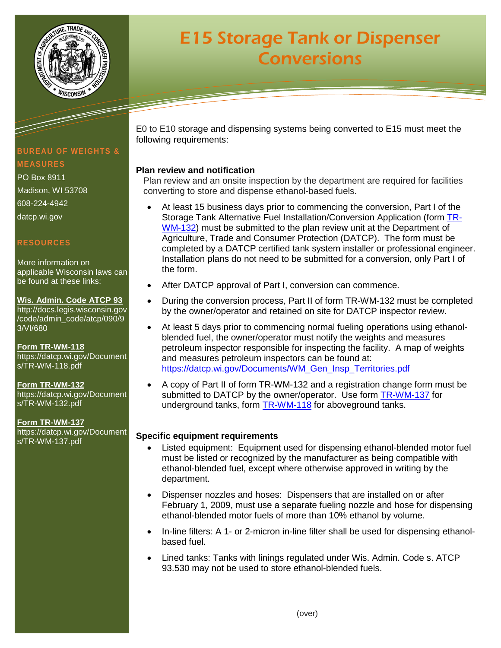

# **E15 Storage Tank or Dispenser Conversions**

# **BUREAU OF WEIGHTS & MEASURES**

PO Box 8911 Madison, WI 53708 608-224-4942 datcp.wi.gov

## **RESOURCES**

More information on applicable Wisconsin laws can be found at these links:

**Wis. Admin. Code ATCP 93** [http://docs.legis.wisconsin.gov](http://docs.legis.wisconsin.gov/code/admin_code/atcp/090/93/VI/680) [/code/admin\\_code/atcp/090/9](http://docs.legis.wisconsin.gov/code/admin_code/atcp/090/93/VI/680) [3/VI/680](http://docs.legis.wisconsin.gov/code/admin_code/atcp/090/93/VI/680)

**Form TR-WM-118** [https://datcp.wi.gov/Document](https://datcp.wi.gov/Documents/TR-WM-118.pdf) [s/TR-WM-118.pdf](https://datcp.wi.gov/Documents/TR-WM-118.pdf)

**Form TR-WM-132** [https://datcp.wi.gov/Document](https://datcp.wi.gov/Documents/TR-WM-132.pdf) [s/TR-WM-132.pdf](https://datcp.wi.gov/Documents/TR-WM-132.pdf)

**Form TR-WM-137** [https://datcp.wi.gov/Document](https://datcp.wi.gov/Documents/TR-WM-137.pdf) [s/TR-WM-137.pdf](https://datcp.wi.gov/Documents/TR-WM-137.pdf)

E0 to E10 storage and dispensing systems being converted to E15 must meet the following requirements:

## **Plan review and notification**

Plan review and an onsite inspection by the department are required for facilities converting to store and dispense ethanol-based fuels.

- At least 15 business days prior to commencing the conversion, Part I of the Storage Tank Alternative Fuel Installation/Conversion Application (form [TR-](https://datcp.wi.gov/Documents/TR-WM-132.pdf)[WM-132\)](https://datcp.wi.gov/Documents/TR-WM-132.pdf) must be submitted to the plan review unit at the Department of Agriculture, Trade and Consumer Protection (DATCP). The form must be completed by a DATCP certified tank system installer or professional engineer. Installation plans do not need to be submitted for a conversion, only Part I of the form.
- After DATCP approval of Part I, conversion can commence.
- During the conversion process, Part II of form TR-WM-132 must be completed by the owner/operator and retained on site for DATCP inspector review.
- At least 5 days prior to commencing normal fueling operations using ethanolblended fuel, the owner/operator must notify the weights and measures petroleum inspector responsible for inspecting the facility. A map of weights and measures petroleum inspectors can be found at: [https://datcp.wi.gov/Documents/WM\\_Gen\\_Insp\\_Territories.pdf](https://datcp.wi.gov/Documents/WM_Gen_Insp_Territories.pdf)
- A copy of Part II of form TR-WM-132 and a registration change form must be submitted to DATCP by the owner/operator. Use form [TR-WM-137](https://datcp.wi.gov/Documents/TR-WM-137.pdf) for underground tanks, form [TR-WM-118](https://datcp.wi.gov/Documents/TR-WM-118.pdf) for aboveground tanks.

#### **Specific equipment requirements**

- Listed equipment: Equipment used for dispensing ethanol-blended motor fuel must be listed or recognized by the manufacturer as being compatible with ethanol-blended fuel, except where otherwise approved in writing by the department.
- Dispenser nozzles and hoses: Dispensers that are installed on or after February 1, 2009, must use a separate fueling nozzle and hose for dispensing ethanol-blended motor fuels of more than 10% ethanol by volume.
- In-line filters: A 1- or 2-micron in-line filter shall be used for dispensing ethanolbased fuel.
- Lined tanks: Tanks with linings regulated under Wis. Admin. Code s. ATCP 93.530 may not be used to store ethanol-blended fuels.